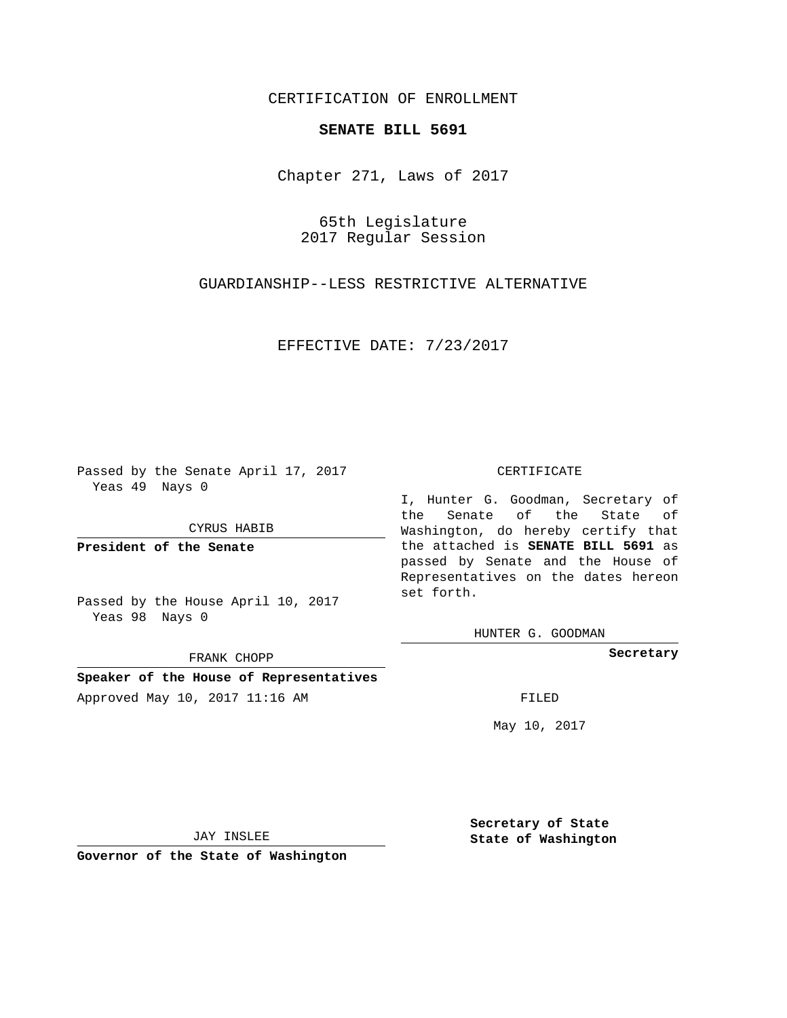## CERTIFICATION OF ENROLLMENT

## **SENATE BILL 5691**

Chapter 271, Laws of 2017

65th Legislature 2017 Regular Session

GUARDIANSHIP--LESS RESTRICTIVE ALTERNATIVE

EFFECTIVE DATE: 7/23/2017

Passed by the Senate April 17, 2017 Yeas 49 Nays 0

CYRUS HABIB

**President of the Senate**

Passed by the House April 10, 2017 Yeas 98 Nays 0

FRANK CHOPP

**Speaker of the House of Representatives**

Approved May 10, 2017 11:16 AM FILED

## CERTIFICATE

I, Hunter G. Goodman, Secretary of the Senate of the State of Washington, do hereby certify that the attached is **SENATE BILL 5691** as passed by Senate and the House of Representatives on the dates hereon set forth.

HUNTER G. GOODMAN

**Secretary**

May 10, 2017

JAY INSLEE

**Governor of the State of Washington**

**Secretary of State State of Washington**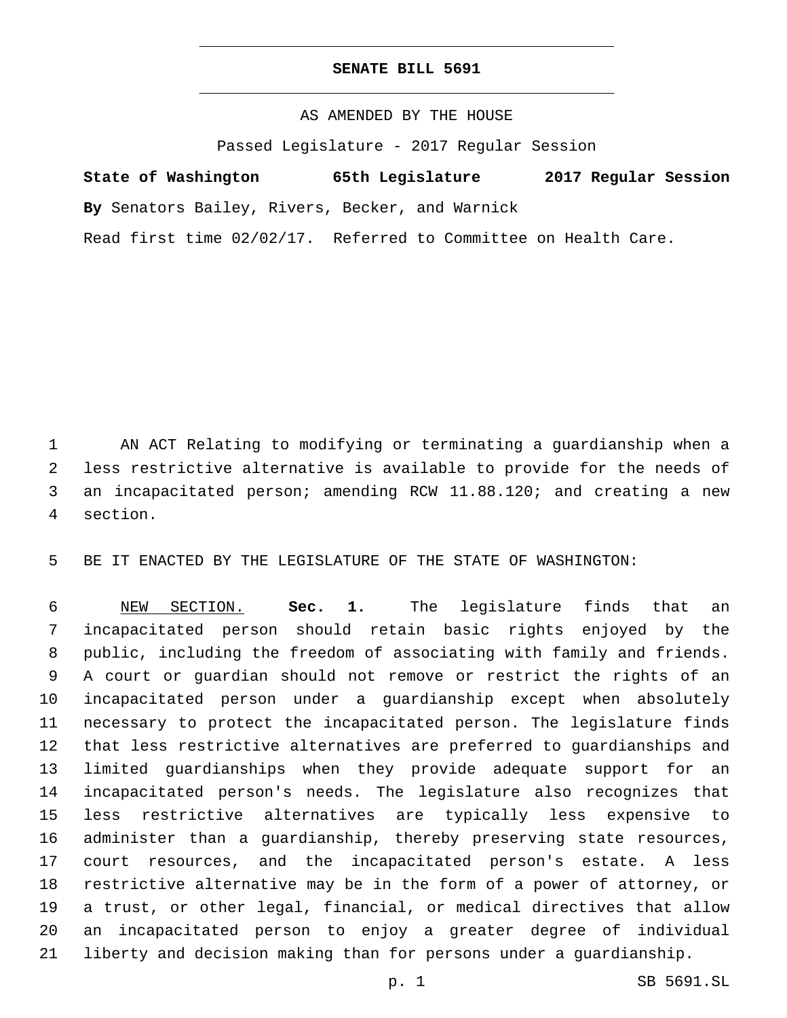## **SENATE BILL 5691**

AS AMENDED BY THE HOUSE

Passed Legislature - 2017 Regular Session

**State of Washington 65th Legislature 2017 Regular Session**

**By** Senators Bailey, Rivers, Becker, and Warnick

Read first time 02/02/17. Referred to Committee on Health Care.

 AN ACT Relating to modifying or terminating a guardianship when a less restrictive alternative is available to provide for the needs of an incapacitated person; amending RCW 11.88.120; and creating a new section.4

BE IT ENACTED BY THE LEGISLATURE OF THE STATE OF WASHINGTON:

 NEW SECTION. **Sec. 1.** The legislature finds that an incapacitated person should retain basic rights enjoyed by the public, including the freedom of associating with family and friends. A court or guardian should not remove or restrict the rights of an incapacitated person under a guardianship except when absolutely necessary to protect the incapacitated person. The legislature finds that less restrictive alternatives are preferred to guardianships and limited guardianships when they provide adequate support for an incapacitated person's needs. The legislature also recognizes that less restrictive alternatives are typically less expensive to administer than a guardianship, thereby preserving state resources, court resources, and the incapacitated person's estate. A less restrictive alternative may be in the form of a power of attorney, or a trust, or other legal, financial, or medical directives that allow an incapacitated person to enjoy a greater degree of individual liberty and decision making than for persons under a guardianship.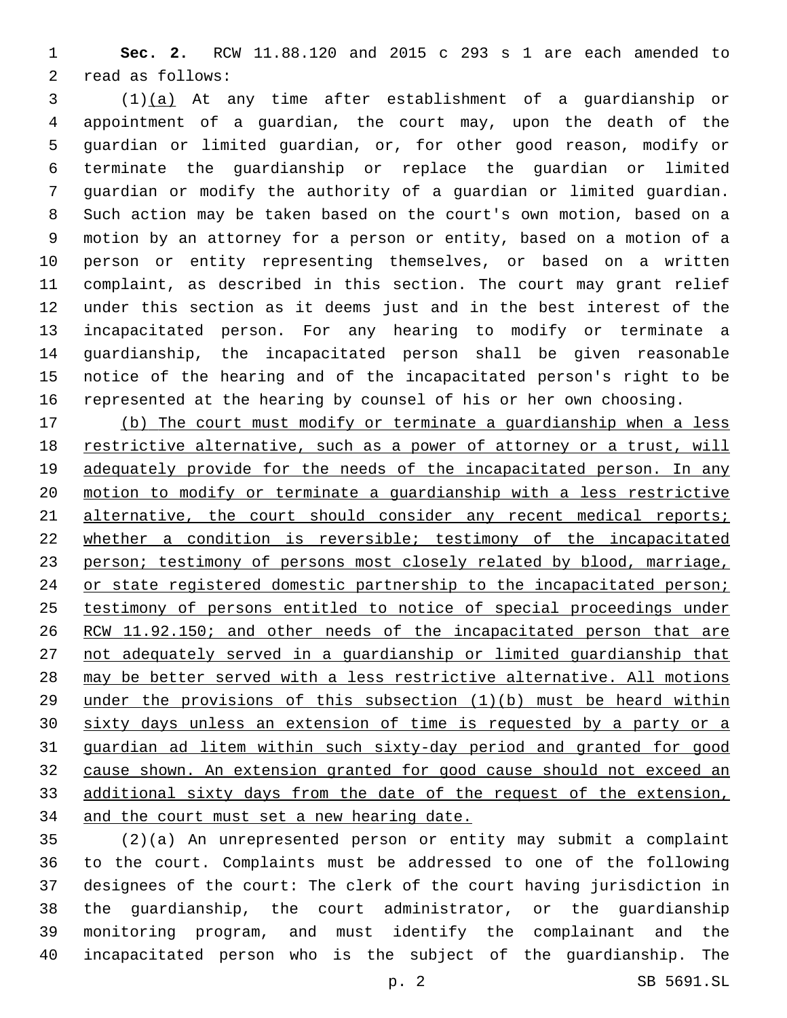**Sec. 2.** RCW 11.88.120 and 2015 c 293 s 1 are each amended to 2 read as follows:

 (1)(a) At any time after establishment of a guardianship or appointment of a guardian, the court may, upon the death of the guardian or limited guardian, or, for other good reason, modify or terminate the guardianship or replace the guardian or limited guardian or modify the authority of a guardian or limited guardian. Such action may be taken based on the court's own motion, based on a motion by an attorney for a person or entity, based on a motion of a person or entity representing themselves, or based on a written complaint, as described in this section. The court may grant relief under this section as it deems just and in the best interest of the incapacitated person. For any hearing to modify or terminate a guardianship, the incapacitated person shall be given reasonable notice of the hearing and of the incapacitated person's right to be represented at the hearing by counsel of his or her own choosing.

 (b) The court must modify or terminate a guardianship when a less restrictive alternative, such as a power of attorney or a trust, will 19 adequately provide for the needs of the incapacitated person. In any motion to modify or terminate a guardianship with a less restrictive 21 alternative, the court should consider any recent medical reports; whether a condition is reversible; testimony of the incapacitated person; testimony of persons most closely related by blood, marriage, 24 or state registered domestic partnership to the incapacitated person; testimony of persons entitled to notice of special proceedings under 26 RCW 11.92.150; and other needs of the incapacitated person that are not adequately served in a guardianship or limited guardianship that may be better served with a less restrictive alternative. All motions under the provisions of this subsection (1)(b) must be heard within sixty days unless an extension of time is requested by a party or a guardian ad litem within such sixty-day period and granted for good cause shown. An extension granted for good cause should not exceed an additional sixty days from the date of the request of the extension, and the court must set a new hearing date.

 (2)(a) An unrepresented person or entity may submit a complaint to the court. Complaints must be addressed to one of the following designees of the court: The clerk of the court having jurisdiction in the guardianship, the court administrator, or the guardianship monitoring program, and must identify the complainant and the incapacitated person who is the subject of the guardianship. The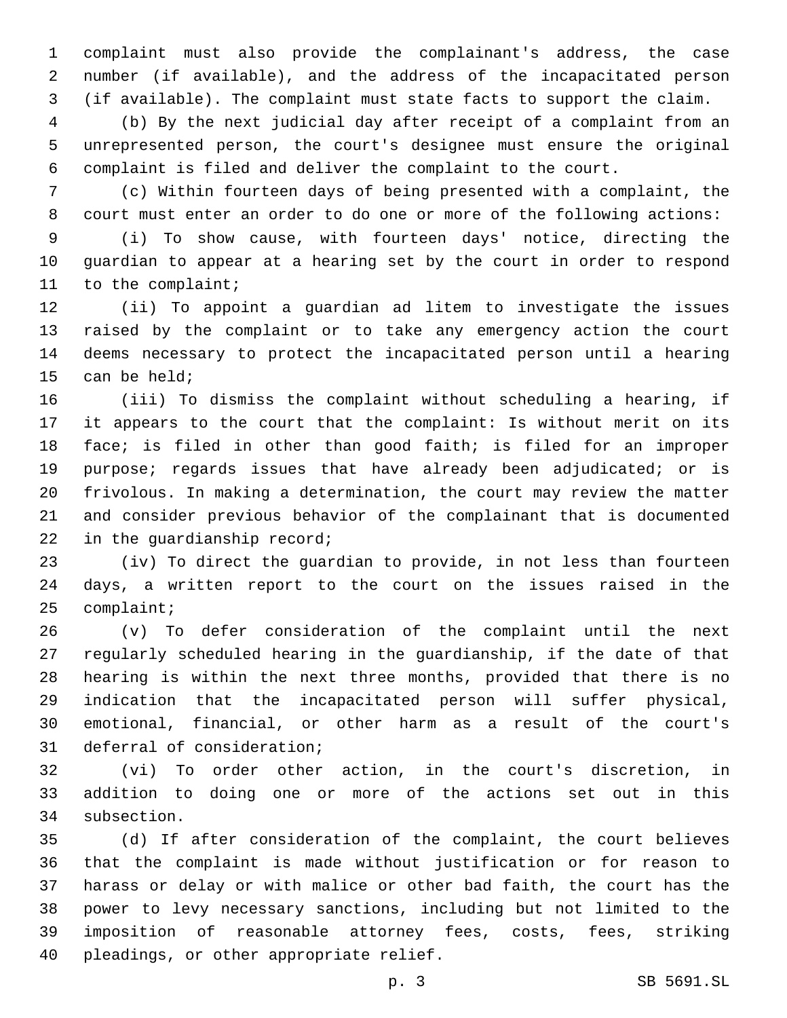complaint must also provide the complainant's address, the case number (if available), and the address of the incapacitated person (if available). The complaint must state facts to support the claim.

 (b) By the next judicial day after receipt of a complaint from an unrepresented person, the court's designee must ensure the original complaint is filed and deliver the complaint to the court.

 (c) Within fourteen days of being presented with a complaint, the court must enter an order to do one or more of the following actions:

 (i) To show cause, with fourteen days' notice, directing the guardian to appear at a hearing set by the court in order to respond 11 to the complaint;

 (ii) To appoint a guardian ad litem to investigate the issues raised by the complaint or to take any emergency action the court deems necessary to protect the incapacitated person until a hearing 15 can be held;

 (iii) To dismiss the complaint without scheduling a hearing, if it appears to the court that the complaint: Is without merit on its face; is filed in other than good faith; is filed for an improper purpose; regards issues that have already been adjudicated; or is frivolous. In making a determination, the court may review the matter and consider previous behavior of the complainant that is documented 22 in the guardianship record;

 (iv) To direct the guardian to provide, in not less than fourteen days, a written report to the court on the issues raised in the 25 complaint;

 (v) To defer consideration of the complaint until the next regularly scheduled hearing in the guardianship, if the date of that hearing is within the next three months, provided that there is no indication that the incapacitated person will suffer physical, emotional, financial, or other harm as a result of the court's 31 deferral of consideration;

 (vi) To order other action, in the court's discretion, in addition to doing one or more of the actions set out in this 34 subsection.

 (d) If after consideration of the complaint, the court believes that the complaint is made without justification or for reason to harass or delay or with malice or other bad faith, the court has the power to levy necessary sanctions, including but not limited to the imposition of reasonable attorney fees, costs, fees, striking 40 pleadings, or other appropriate relief.